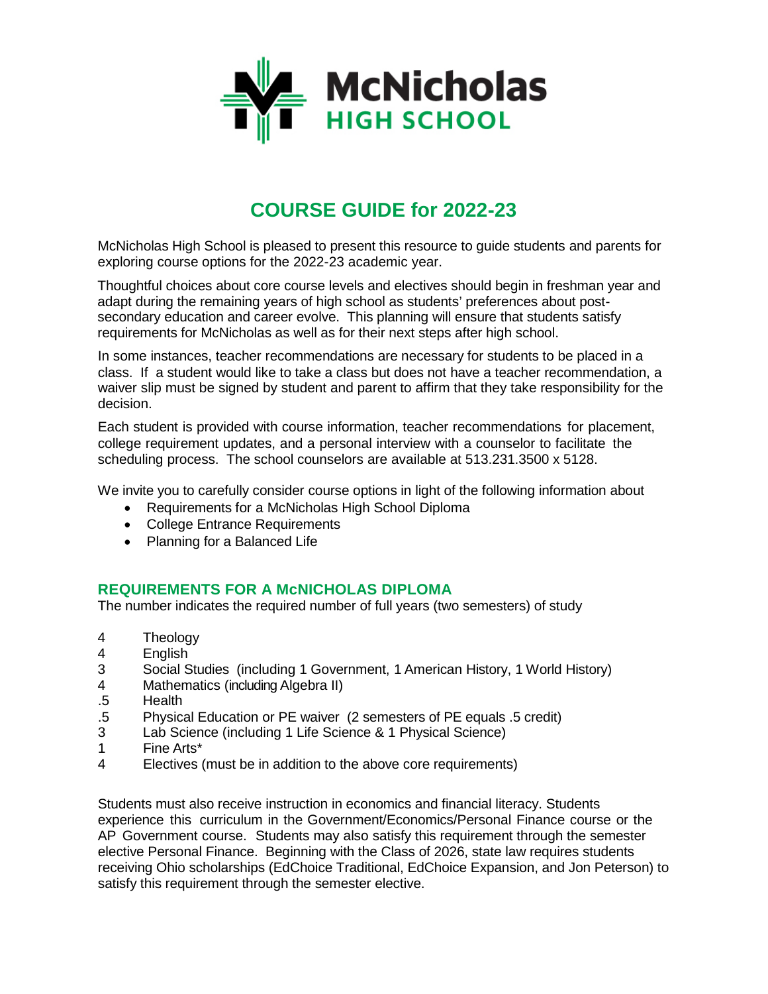

# **COURSE GUIDE for 2022-23**

McNicholas High School is pleased to present this resource to guide students and parents for exploring course options for the 2022-23 academic year.

Thoughtful choices about core course levels and electives should begin in freshman year and adapt during the remaining years of high school as students' preferences about postsecondary education and career evolve. This planning will ensure that students satisfy requirements for McNicholas as well as for their next steps after high school.

In some instances, teacher recommendations are necessary for students to be placed in a class. If a student would like to take a class but does not have a teacher recommendation, a waiver slip must be signed by student and parent to affirm that they take responsibility for the decision.

Each student is provided with course information, teacher recommendations for placement, college requirement updates, and a personal interview with a counselor to facilitate the scheduling process. The school counselors are available at 513.231.3500 x 5128.

We invite you to carefully consider course options in light of the following information about

- Requirements for a McNicholas High School Diploma
- College Entrance Requirements
- Planning for a Balanced Life

## **REQUIREMENTS FOR A McNICHOLAS DIPLOMA**

The number indicates the required number of full years (two semesters) of study

- 4 Theology<br>4 Fnalish
- 
- 4 English<br>3 Social S 3 Social Studies (including 1 Government, 1 American History, 1 World History)<br>4 Mathematics (including Algebra II)
- Mathematics (including Algebra II)
- .5 Health
- .5 Physical Education or PE waiver (2 semesters of PE equals .5 credit)
- Lab Science (including 1 Life Science & 1 Physical Science)
- 1 Fine Arts\*
- 4 Electives (must be in addition to the above core requirements)

Students must also receive instruction in economics and financial literacy. Students experience this curriculum in the Government/Economics/Personal Finance course or the AP Government course. Students may also satisfy this requirement through the semester elective Personal Finance. Beginning with the Class of 2026, state law requires students receiving Ohio scholarships (EdChoice Traditional, EdChoice Expansion, and Jon Peterson) to satisfy this requirement through the semester elective.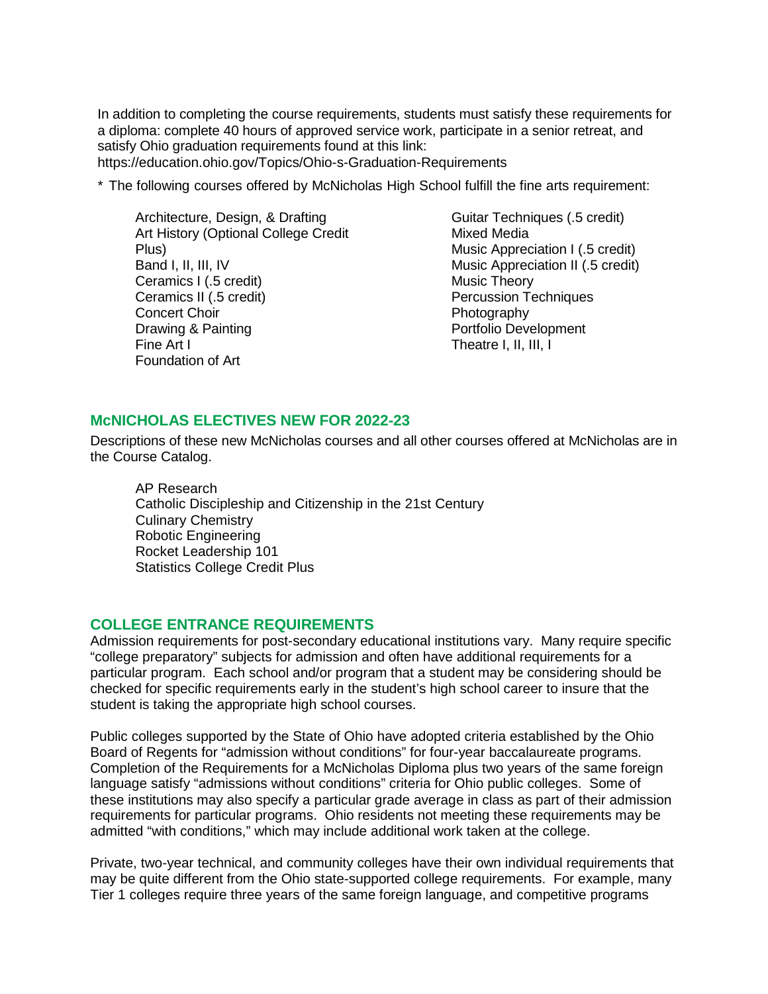In addition to completing the course requirements, students must satisfy these requirements for a diploma: complete 40 hours of approved service work, participate in a senior retreat, and satisfy Ohio graduation requirements found at this link:

https://education.ohio.gov/Topics/Ohio-s-Graduation-Requirements

\* The following courses offered by McNicholas High School fulfill the fine arts requirement:

Architecture, Design, & Drafting Art History (Optional College Credit Plus) Band I, II, III, IV Ceramics I (.5 credit) Ceramics II (.5 credit) Concert Choir Drawing & Painting Fine Art I Foundation of Art

Guitar Techniques (.5 credit) Mixed Media Music Appreciation I (.5 credit) Music Appreciation II (.5 credit) Music Theory Percussion Techniques Photography Portfolio Development Theatre I, II, III, I

## **McNICHOLAS ELECTIVES NEW FOR 2022-23**

Descriptions of these new McNicholas courses and all other courses offered at McNicholas are in the Course Catalog.

AP Research Catholic Discipleship and Citizenship in the 21st Century Culinary Chemistry Robotic Engineering Rocket Leadership 101 Statistics College Credit Plus

#### **COLLEGE ENTRANCE REQUIREMENTS**

Admission requirements for post-secondary educational institutions vary. Many require specific "college preparatory" subjects for admission and often have additional requirements for a particular program. Each school and/or program that a student may be considering should be checked for specific requirements early in the student's high school career to insure that the student is taking the appropriate high school courses.

Public colleges supported by the State of Ohio have adopted criteria established by the Ohio Board of Regents for "admission without conditions" for four-year baccalaureate programs. Completion of the Requirements for a McNicholas Diploma plus two years of the same foreign language satisfy "admissions without conditions" criteria for Ohio public colleges. Some of these institutions may also specify a particular grade average in class as part of their admission requirements for particular programs. Ohio residents not meeting these requirements may be admitted "with conditions," which may include additional work taken at the college.

Private, two-year technical, and community colleges have their own individual requirements that may be quite different from the Ohio state-supported college requirements. For example, many Tier 1 colleges require three years of the same foreign language, and competitive programs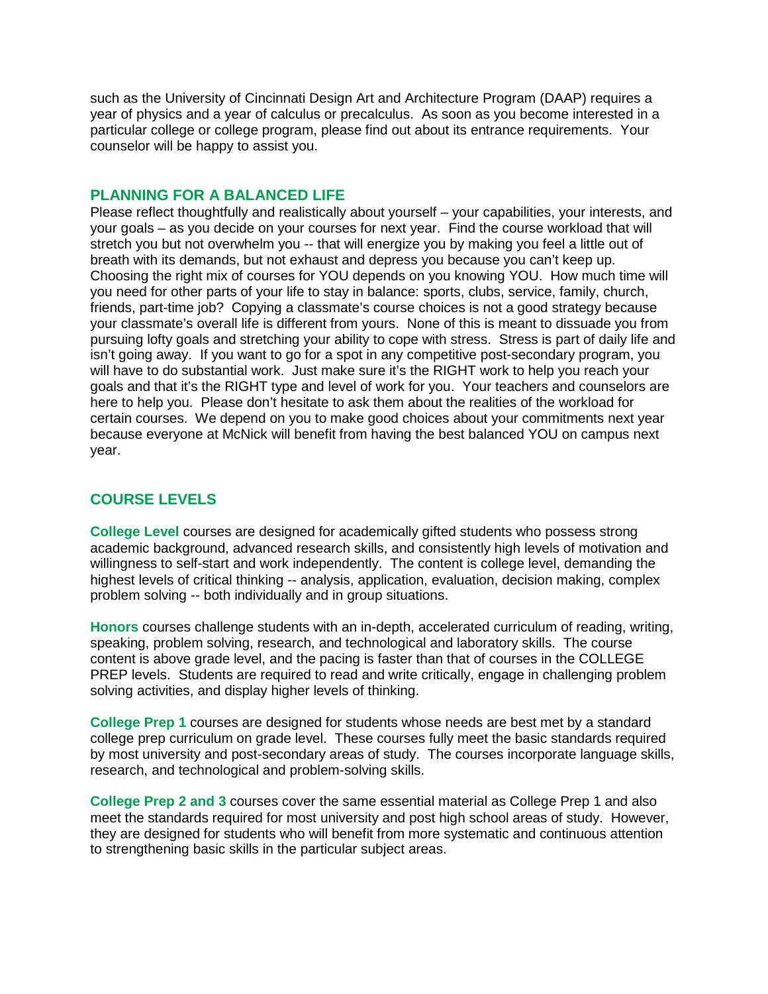such as the University of Cincinnati Design Art and Architecture Program (DAAP) requires a year of physics and a year of calculus or precalculus. As soon as you become interested in a particular college or college program, please find out about its entrance requirements. Your counselor will be happy to assist you.

#### **PLANNING FOR A BALANCED LIFE**

Please reflect thoughtfully and realistically about yourself – your capabilities, your interests, and your goals – as you decide on your courses for next year. Find the course workload that will stretch you but not overwhelm you -- that will energize you by making you feel a little out of breath with its demands, but not exhaust and depress you because you can't keep up. Choosing the right mix of courses for YOU depends on you knowing YOU. How much time will you need for other parts of your life to stay in balance: sports, clubs, service, family, church, friends, part-time job? Copying a classmate's course choices is not a good strategy because your classmate's overall life is different from yours. None of this is meant to dissuade you from pursuing lofty goals and stretching your ability to cope with stress. Stress is part of daily life and isn't going away. If you want to go for a spot in any competitive post-secondary program, you will have to do substantial work. Just make sure it's the RIGHT work to help you reach your goals and that it's the RIGHT type and level of work for you. Your teachers and counselors are here to help you. Please don't hesitate to ask them about the realities of the workload for certain courses. We depend on you to make good choices about your commitments next year because everyone at McNick will benefit from having the best balanced YOU on campus next year.

# **COURSE LEVELS**

**College Level** courses are designed for academically gifted students who possess strong academic background, advanced research skills, and consistently high levels of motivation and willingness to self-start and work independently. The content is college level, demanding the highest levels of critical thinking -- analysis, application, evaluation, decision making, complex problem solving -- both individually and in group situations.

**Honors** courses challenge students with an in-depth, accelerated curriculum of reading, writing, speaking, problem solving, research, and technological and laboratory skills. The course content is above grade level, and the pacing is faster than that of courses in the COLLEGE PREP levels. Students are required to read and write critically, engage in challenging problem solving activities, and display higher levels of thinking.

**College Prep 1** courses are designed for students whose needs are best met by a standard college prep curriculum on grade level. These courses fully meet the basic standards required by most university and post-secondary areas of study. The courses incorporate language skills, research, and technological and problem-solving skills.

**College Prep 2 and 3** courses cover the same essential material as College Prep 1 and also meet the standards required for most university and post high school areas of study. However, they are designed for students who will benefit from more systematic and continuous attention to strengthening basic skills in the particular subject areas.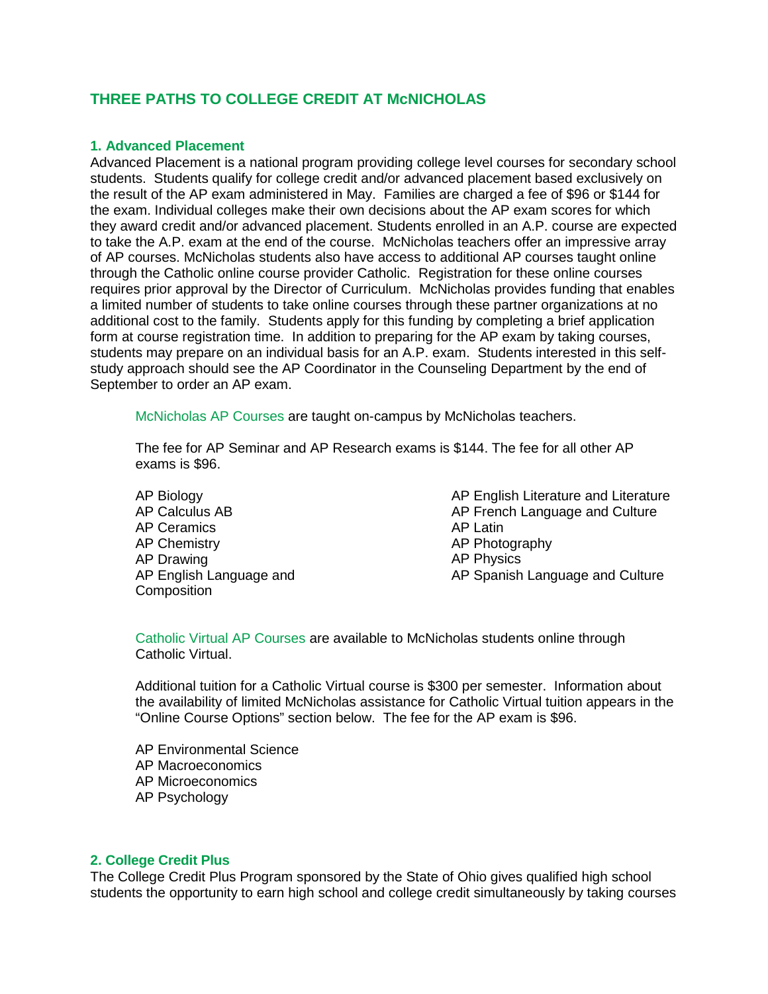# **THREE PATHS TO COLLEGE CREDIT AT McNICHOLAS**

#### **1. Advanced Placement**

Advanced Placement is a national program providing college level courses for secondary school students. Students qualify for college credit and/or advanced placement based exclusively on the result of the AP exam administered in May. Families are charged a fee of \$96 or \$144 for the exam. Individual colleges make their own decisions about the AP exam scores for which they award credit and/or advanced placement. Students enrolled in an A.P. course are expected to take the A.P. exam at the end of the course. McNicholas teachers offer an impressive array of AP courses. McNicholas students also have access to additional AP courses taught online through the Catholic online course provider Catholic. Registration for these online courses requires prior approval by the Director of Curriculum. McNicholas provides funding that enables a limited number of students to take online courses through these partner organizations at no additional cost to the family. Students apply for this funding by completing a brief application form at course registration time. In addition to preparing for the AP exam by taking courses, students may prepare on an individual basis for an A.P. exam. Students interested in this selfstudy approach should see the AP Coordinator in the Counseling Department by the end of September to order an AP exam.

McNicholas AP Courses are taught on-campus by McNicholas teachers.

The fee for AP Seminar and AP Research exams is \$144. The fee for all other AP exams is \$96.

AP Biology AP Calculus AB AP Ceramics AP Chemistry AP Drawing AP English Language and **Composition** 

AP English Literature and Literature AP French Language and Culture AP Latin AP Photography AP Physics AP Spanish Language and Culture

Catholic Virtual AP Courses are available to McNicholas students online through Catholic Virtual.

Additional tuition for a Catholic Virtual course is \$300 per semester. Information about the availability of limited McNicholas assistance for Catholic Virtual tuition appears in the "Online Course Options" section below. The fee for the AP exam is \$96.

AP Environmental Science AP Macroeconomics AP Microeconomics AP Psychology

#### **2. College Credit Plus**

The College Credit Plus Program sponsored by the State of Ohio gives qualified high school students the opportunity to earn high school and college credit simultaneously by taking courses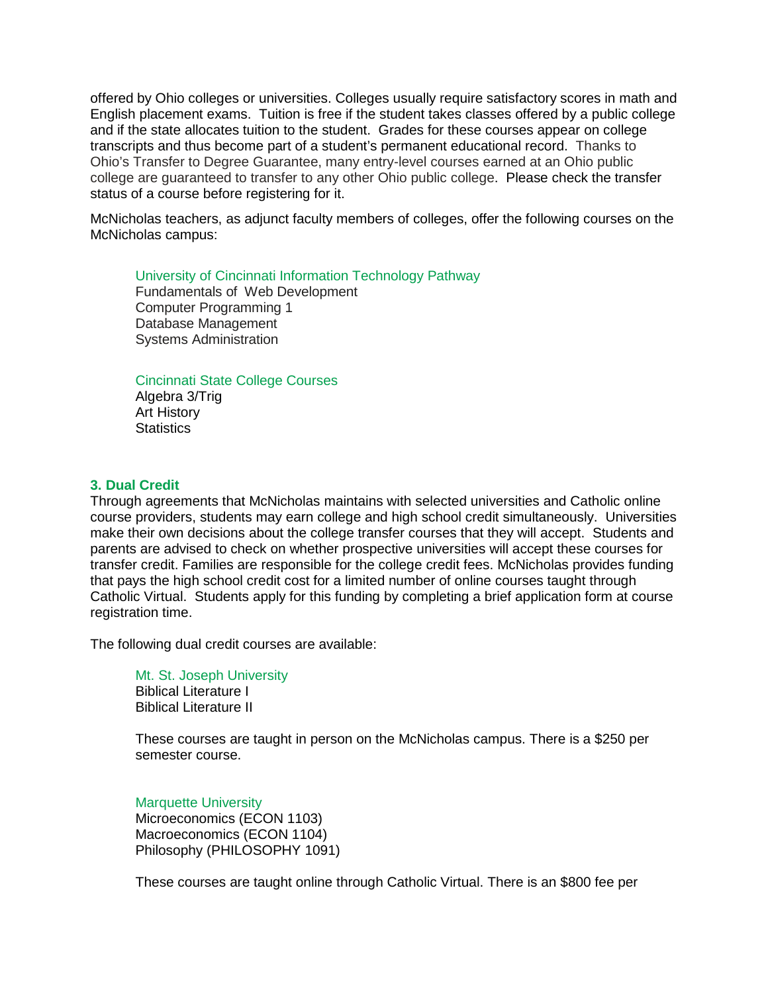offered by Ohio colleges or universities. Colleges usually require satisfactory scores in math and English placement exams. Tuition is free if the student takes classes offered by a public college and if the state allocates tuition to the student. Grades for these courses appear on college transcripts and thus become part of a student's permanent educational record. Thanks to Ohio's Transfer to Degree Guarantee, many entry-level courses earned at an Ohio public college are guaranteed to transfer to any other Ohio public college. Please check the transfer status of a course before registering for it.

McNicholas teachers, as adjunct faculty members of colleges, offer the following courses on the McNicholas campus:

## University of Cincinnati Information Technology Pathway

Fundamentals of Web Development Computer Programming 1 Database Management Systems Administration

#### Cincinnati State College Courses

Algebra 3/Trig Art History **Statistics** 

#### **3. Dual Credit**

Through agreements that McNicholas maintains with selected universities and Catholic online course providers, students may earn college and high school credit simultaneously. Universities make their own decisions about the college transfer courses that they will accept. Students and parents are advised to check on whether prospective universities will accept these courses for transfer credit. Families are responsible for the college credit fees. McNicholas provides funding that pays the high school credit cost for a limited number of online courses taught through Catholic Virtual. Students apply for this funding by completing a brief application form at course registration time.

The following dual credit courses are available:

Mt. St. Joseph University Biblical Literature I Biblical Literature II

These courses are taught in person on the McNicholas campus. There is a \$250 per semester course.

Marquette University Microeconomics (ECON 1103) Macroeconomics (ECON 1104) Philosophy (PHILOSOPHY 1091)

These courses are taught online through Catholic Virtual. There is an \$800 fee per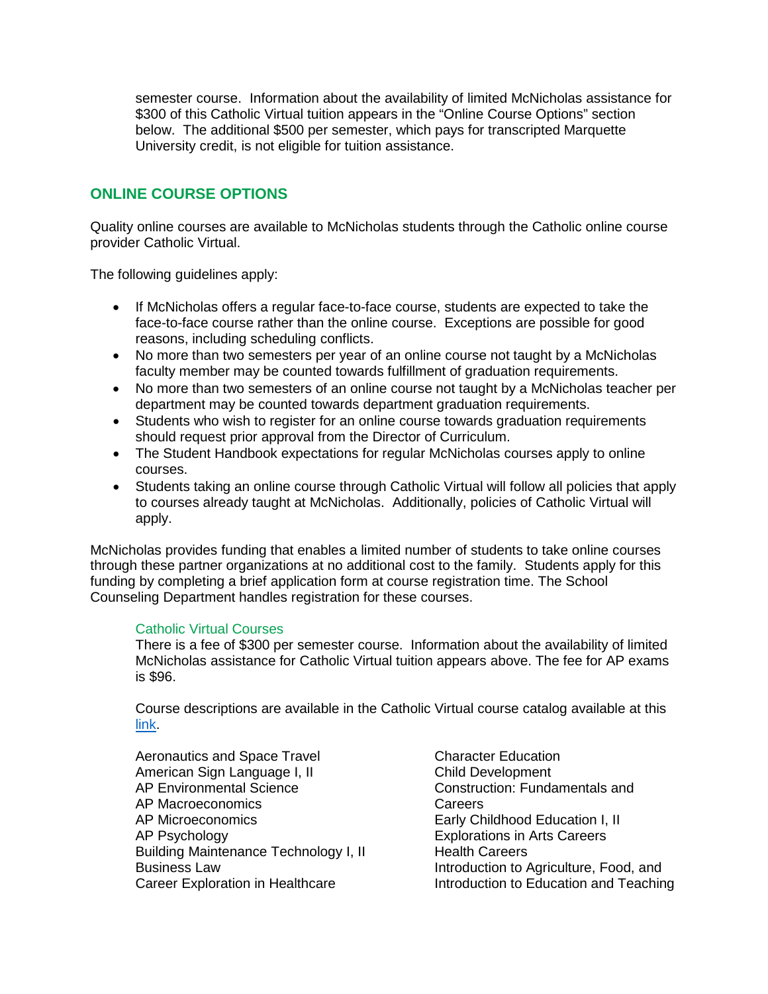semester course. Information about the availability of limited McNicholas assistance for \$300 of this Catholic Virtual tuition appears in the "Online Course Options" section below. The additional \$500 per semester, which pays for transcripted Marquette University credit, is not eligible for tuition assistance.

# **ONLINE COURSE OPTIONS**

Quality online courses are available to McNicholas students through the Catholic online course provider Catholic Virtual.

The following guidelines apply:

- If McNicholas offers a regular face-to-face course, students are expected to take the face-to-face course rather than the online course. Exceptions are possible for good reasons, including scheduling conflicts.
- No more than two semesters per year of an online course not taught by a McNicholas faculty member may be counted towards fulfillment of graduation requirements.
- No more than two semesters of an online course not taught by a McNicholas teacher per department may be counted towards department graduation requirements.
- Students who wish to register for an online course towards graduation requirements should request prior approval from the Director of Curriculum.
- The Student Handbook expectations for regular McNicholas courses apply to online courses.
- Students taking an online course through Catholic Virtual will follow all policies that apply to courses already taught at McNicholas. Additionally, policies of Catholic Virtual will apply.

McNicholas provides funding that enables a limited number of students to take online courses through these partner organizations at no additional cost to the family. Students apply for this funding by completing a brief application form at course registration time. The School Counseling Department handles registration for these courses.

#### Catholic Virtual Courses

There is a fee of \$300 per semester course. Information about the availability of limited McNicholas assistance for Catholic Virtual tuition appears above. The fee for AP exams is \$96.

Course descriptions are available in the Catholic Virtual course catalog available at this [link.](https://www.catholicvirtual.com/academics/catholic-high-school-programs/)

Aeronautics and Space Travel American Sign Language I, II AP Environmental Science AP Macroeconomics AP Microeconomics AP Psychology Building Maintenance Technology I, II Business Law Career Exploration in Healthcare

Character Education Child Development Construction: Fundamentals and **Careers** Early Childhood Education I, II Explorations in Arts Careers Health Careers Introduction to Agriculture, Food, and Introduction to Education and Teaching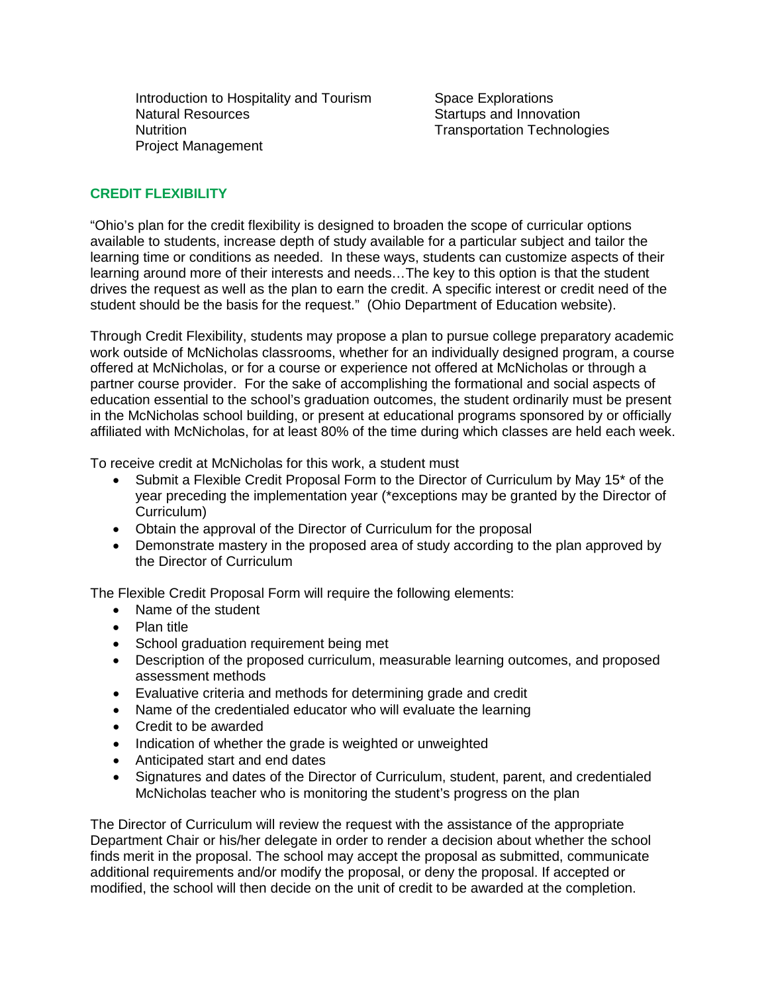Introduction to Hospitality and Tourism Natural Resources **Nutrition** Project Management

Space Explorations Startups and Innovation Transportation Technologies

## **CREDIT FLEXIBILITY**

"Ohio's plan for the credit flexibility is designed to broaden the scope of curricular options available to students, increase depth of study available for a particular subject and tailor the learning time or conditions as needed. In these ways, students can customize aspects of their learning around more of their interests and needs…The key to this option is that the student drives the request as well as the plan to earn the credit. A specific interest or credit need of the student should be the basis for the request." (Ohio Department of Education website).

Through Credit Flexibility, students may propose a plan to pursue college preparatory academic work outside of McNicholas classrooms, whether for an individually designed program, a course offered at McNicholas, or for a course or experience not offered at McNicholas or through a partner course provider. For the sake of accomplishing the formational and social aspects of education essential to the school's graduation outcomes, the student ordinarily must be present in the McNicholas school building, or present at educational programs sponsored by or officially affiliated with McNicholas, for at least 80% of the time during which classes are held each week.

To receive credit at McNicholas for this work, a student must

- Submit a Flexible Credit Proposal Form to the Director of Curriculum by May 15\* of the year preceding the implementation year (\*exceptions may be granted by the Director of Curriculum)
- Obtain the approval of the Director of Curriculum for the proposal
- Demonstrate mastery in the proposed area of study according to the plan approved by the Director of Curriculum

The Flexible Credit Proposal Form will require the following elements:

- Name of the student
- Plan title
- School graduation requirement being met
- Description of the proposed curriculum, measurable learning outcomes, and proposed assessment methods
- Evaluative criteria and methods for determining grade and credit
- Name of the credentialed educator who will evaluate the learning
- Credit to be awarded
- Indication of whether the grade is weighted or unweighted
- Anticipated start and end dates
- Signatures and dates of the Director of Curriculum, student, parent, and credentialed McNicholas teacher who is monitoring the student's progress on the plan

The Director of Curriculum will review the request with the assistance of the appropriate Department Chair or his/her delegate in order to render a decision about whether the school finds merit in the proposal. The school may accept the proposal as submitted, communicate additional requirements and/or modify the proposal, or deny the proposal. If accepted or modified, the school will then decide on the unit of credit to be awarded at the completion.